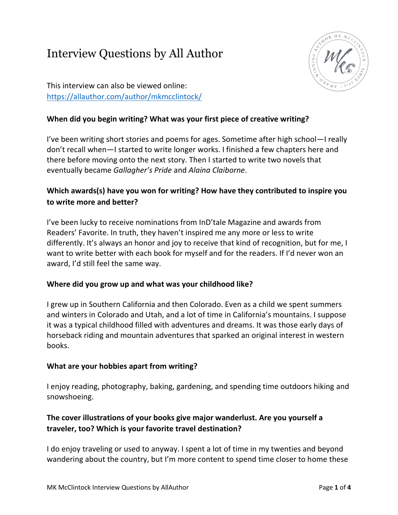# Interview Questions by All Author



This interview can also be viewed online: <https://allauthor.com/author/mkmcclintock/>

### **When did you begin writing? What was your first piece of creative writing?**

I've been writing short stories and poems for ages. Sometime after high school—I really don't recall when—I started to write longer works. I finished a few chapters here and there before moving onto the next story. Then I started to write two novels that eventually became *Gallagher's Pride* and *Alaina Claiborne*.

### **Which awards(s) have you won for writing? How have they contributed to inspire you to write more and better?**

I've been lucky to receive nominations from InD'tale Magazine and awards from Readers' Favorite. In truth, they haven't inspired me any more or less to write differently. It's always an honor and joy to receive that kind of recognition, but for me, I want to write better with each book for myself and for the readers. If I'd never won an award, I'd still feel the same way.

### **Where did you grow up and what was your childhood like?**

I grew up in Southern California and then Colorado. Even as a child we spent summers and winters in Colorado and Utah, and a lot of time in California's mountains. I suppose it was a typical childhood filled with adventures and dreams. It was those early days of horseback riding and mountain adventures that sparked an original interest in western books.

### **What are your hobbies apart from writing?**

I enjoy reading, photography, baking, gardening, and spending time outdoors hiking and snowshoeing.

### **The cover illustrations of your books give major wanderlust. Are you yourself a traveler, too? Which is your favorite travel destination?**

I do enjoy traveling or used to anyway. I spent a lot of time in my twenties and beyond wandering about the country, but I'm more content to spend time closer to home these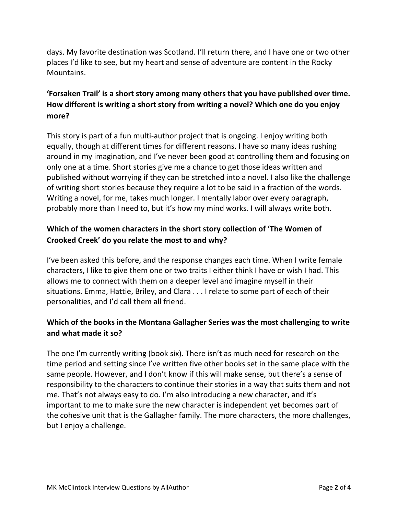days. My favorite destination was Scotland. I'll return there, and I have one or two other places I'd like to see, but my heart and sense of adventure are content in the Rocky Mountains.

### **'Forsaken Trail' is a short story among many others that you have published over time. How different is writing a short story from writing a novel? Which one do you enjoy more?**

This story is part of a fun multi-author project that is ongoing. I enjoy writing both equally, though at different times for different reasons. I have so many ideas rushing around in my imagination, and I've never been good at controlling them and focusing on only one at a time. Short stories give me a chance to get those ideas written and published without worrying if they can be stretched into a novel. I also like the challenge of writing short stories because they require a lot to be said in a fraction of the words. Writing a novel, for me, takes much longer. I mentally labor over every paragraph, probably more than I need to, but it's how my mind works. I will always write both.

### **Which of the women characters in the short story collection of 'The Women of Crooked Creek' do you relate the most to and why?**

I've been asked this before, and the response changes each time. When I write female characters, I like to give them one or two traits I either think I have or wish I had. This allows me to connect with them on a deeper level and imagine myself in their situations. Emma, Hattie, Briley, and Clara . . . I relate to some part of each of their personalities, and I'd call them all friend.

### **Which of the books in the Montana Gallagher Series was the most challenging to write and what made it so?**

The one I'm currently writing (book six). There isn't as much need for research on the time period and setting since I've written five other books set in the same place with the same people. However, and I don't know if this will make sense, but there's a sense of responsibility to the characters to continue their stories in a way that suits them and not me. That's not always easy to do. I'm also introducing a new character, and it's important to me to make sure the new character is independent yet becomes part of the cohesive unit that is the Gallagher family. The more characters, the more challenges, but I enjoy a challenge.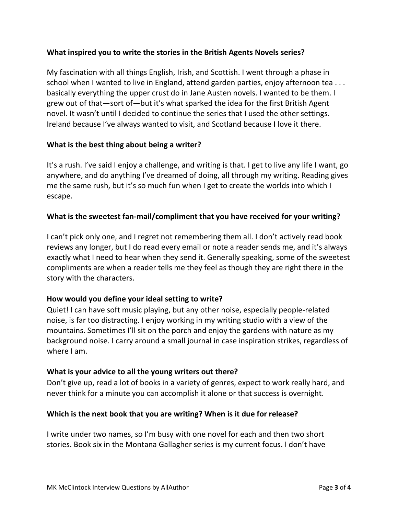#### **What inspired you to write the stories in the British Agents Novels series?**

My fascination with all things English, Irish, and Scottish. I went through a phase in school when I wanted to live in England, attend garden parties, enjoy afternoon tea . . . basically everything the upper crust do in Jane Austen novels. I wanted to be them. I grew out of that—sort of—but it's what sparked the idea for the first British Agent novel. It wasn't until I decided to continue the series that I used the other settings. Ireland because I've always wanted to visit, and Scotland because I love it there.

#### **What is the best thing about being a writer?**

It's a rush. I've said I enjoy a challenge, and writing is that. I get to live any life I want, go anywhere, and do anything I've dreamed of doing, all through my writing. Reading gives me the same rush, but it's so much fun when I get to create the worlds into which I escape.

#### **What is the sweetest fan-mail/compliment that you have received for your writing?**

I can't pick only one, and I regret not remembering them all. I don't actively read book reviews any longer, but I do read every email or note a reader sends me, and it's always exactly what I need to hear when they send it. Generally speaking, some of the sweetest compliments are when a reader tells me they feel as though they are right there in the story with the characters.

#### **How would you define your ideal setting to write?**

Quiet! I can have soft music playing, but any other noise, especially people-related noise, is far too distracting. I enjoy working in my writing studio with a view of the mountains. Sometimes I'll sit on the porch and enjoy the gardens with nature as my background noise. I carry around a small journal in case inspiration strikes, regardless of where I am.

#### **What is your advice to all the young writers out there?**

Don't give up, read a lot of books in a variety of genres, expect to work really hard, and never think for a minute you can accomplish it alone or that success is overnight.

#### **Which is the next book that you are writing? When is it due for release?**

I write under two names, so I'm busy with one novel for each and then two short stories. Book six in the Montana Gallagher series is my current focus. I don't have